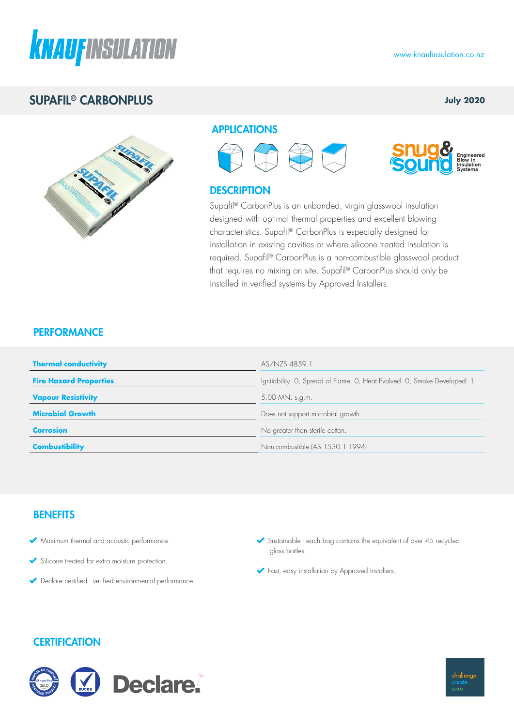

## SUPAFIL® CARBONPLUS

## **July 2020**



### APPLICATIONS





## **DESCRIPTION**

Supafil® CarbonPlus is an unbonded, virgin glasswool insulation designed with optimal thermal properties and excellent blowing characteristics. Supafil® CarbonPlus is especially designed for installation in existing cavities or where silicone treated insulation is required. Supafil® CarbonPlus is a non-combustible glasswool product that requires no mixing on site. Supafil® CarbonPlus should only be installed in verified systems by Approved Installers.

## **PERFORMANCE**

| <b>Thermal conductivity</b>   | AS/NZS 4859.1.                                                            |  |
|-------------------------------|---------------------------------------------------------------------------|--|
| <b>Fire Hazard Properties</b> | Ignitability: O, Spread of Flame: O, Heat Evolved: O, Smoke Developed: 1. |  |
| <b>Vapour Resistivity</b>     | 5.00 MN. s.g.m.                                                           |  |
| <b>Microbial Growth</b>       | Does not support microbial growth.                                        |  |
| <b>Corrosion</b>              | No greater than sterile cotton.                                           |  |
| <b>Combustibility</b>         | Non-combustible (AS 1530.1-1994).                                         |  |

## **BENEFITS**

- Maximum thermal and acoustic performance.
- Silicone treated for extra moisture protection.
- Declare certified verified environmental performance.
- $\blacktriangleright$  Sustainable each bag contains the equivalent of over 45 recycled glass bottles.
- Fast, easy installation by Approved Installers.

## **CERTIFICATION**



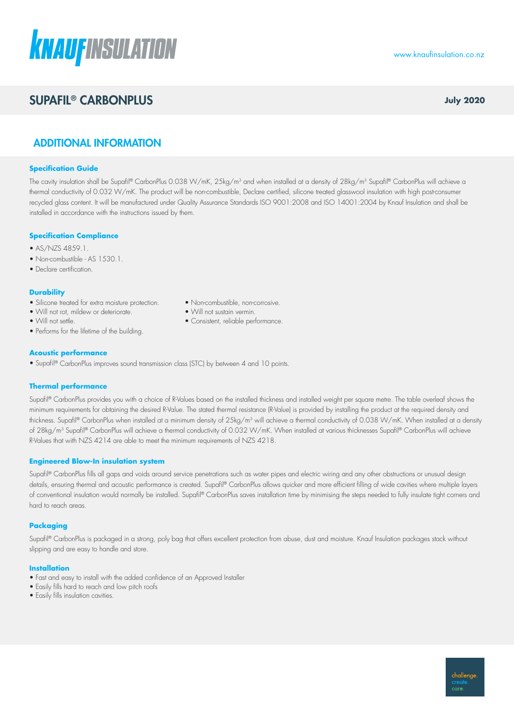# **KNAUFINSULATION**

# **SUPAFIL® CARBONPLUS** *July 2020*

www.knaufinsulation.co.nz

## ADDITIONAL INFORMATION

#### **Specification Guide**

The cavity insulation shall be Supafil® CarbonPlus 0.038 W/mK, 25kg/m<sup>3</sup> and when installed at a density of 28kg/m<sup>3</sup> Supafil® CarbonPlus will achieve a thermal conductivity of 0.032 W/mK. The product will be non-combustible, Declare certified, silicone treated glasswool insulation with high post-consumer recycled glass content. It will be manufactured under Quality Assurance Standards ISO 9001:2008 and ISO 14001:2004 by Knauf Insulation and shall be installed in accordance with the instructions issued by them.

#### **Specification Compliance**

- AS/NZS 4859.1.
- Non-combustible AS 1530.1.
- Declare certification.

#### **Durability**

- Silicone treated for extra moisture protection. • Non-combustible, non-corrosive.
- Will not rot, mildew or deteriorate. • Will not sustain vermin.
- 
- Performs for the lifetime of the building.

#### **Acoustic performance**

• Supafil® CarbonPlus improves sound transmission class (STC) by between 4 and 10 points.

#### **Thermal performance**

Supafil® CarbonPlus provides you with a choice of R-Values based on the installed thickness and installed weight per square metre. The table overleaf shows the minimum requirements for obtaining the desired R-Value. The stated thermal resistance (R-Value) is provided by installing the product at the required density and thickness. Supafil® CarbonPlus when installed at a minimum density of 25kg/m<sup>3</sup> will achieve a thermal conductivity of 0.038 W/mK. When installed at a density of 28kg/m<sup>3</sup> Supafil® CarbonPlus will achieve a thermal conductivity of 0.032 W/mK. When installed at various thicknesses Supafil® CarbonPlus will achieve R-Values that with NZS 4214 are able to meet the minimum requirements of NZS 4218.

#### **Engineered Blow-In insulation system**

Supafil® CarbonPlus fills all gaps and voids around service penetrations such as water pipes and electric wiring and any other obstructions or unusual design details, ensuring thermal and acoustic performance is created. Supafil® CarbonPlus allows quicker and more efficient filling of wide cavities where multiple layers of conventional insulation would normally be installed. Supafil® CarbonPlus saves installation time by minimising the steps needed to fully insulate tight corners and hard to reach areas.

#### **Packaging**

Supafil® CarbonPlus is packaged in a strong, poly bag that offers excellent protection from abuse, dust and moisture. Knauf Insulation packages stack without slipping and are easy to handle and store.

#### **Installation**

- Fast and easy to install with the added confidence of an Approved Installer
- Easily fills hard to reach and low pitch roofs
- Easily fills insulation cavities.
- 
- 
- Will not settle. Consistent, reliable performance.

challenge. care